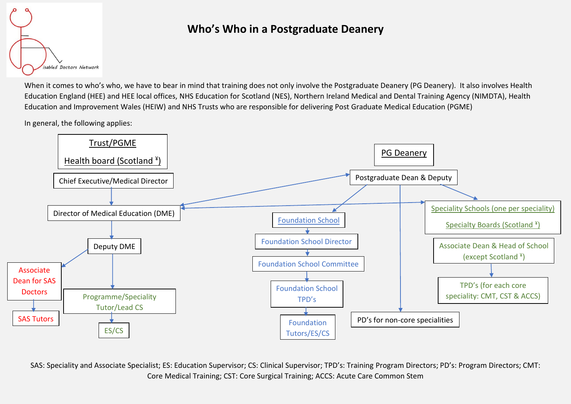

## **Who's Who in a Postgraduate Deanery**

When it comes to who's who, we have to bear in mind that training does not only involve the Postgraduate Deanery (PG Deanery). It also involves Health Education England (HEE) and HEE local offices, NHS Education for Scotland (NES), Northern Ireland Medical and Dental Training Agency (NIMDTA), Health Education and Improvement Wales (HEIW) and NHS Trusts who are responsible for delivering Post Graduate Medical Education (PGME)

In general, the following applies:



SAS: Speciality and Associate Specialist; ES: Education Supervisor; CS: Clinical Supervisor; TPD's: Training Program Directors; PD's: Program Directors; CMT: Core Medical Training; CST: Core Surgical Training; ACCS: Acute Care Common Stem